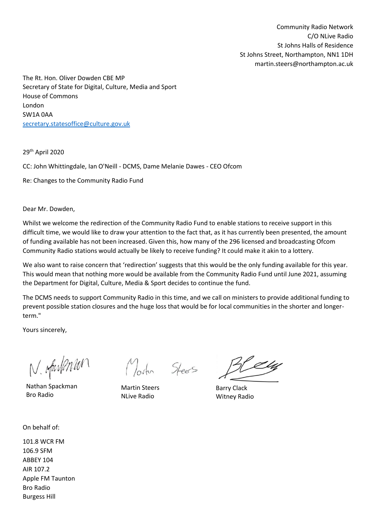Community Radio Network C/O NLive Radio St Johns Halls of Residence St Johns Street, Northampton, NN1 1DH martin.steers@northampton.ac.uk

The Rt. Hon. Oliver Dowden CBE MP Secretary of State for Digital, Culture, Media and Sport House of Commons London SW1A 0AA [secretary.statesoffice@culture.gov.uk](mailto:secretary.statesoffice@culture.gov.uk)

29th April 2020

CC: John Whittingdale, Ian O'Neill - DCMS, Dame Melanie Dawes - CEO Ofcom

Re: Changes to the Community Radio Fund

Dear Mr. Dowden,

Whilst we welcome the redirection of the Community Radio Fund to enable stations to receive support in this difficult time, we would like to draw your attention to the fact that, as it has currently been presented, the amount of funding available has not been increased. Given this, how many of the 296 licensed and broadcasting Ofcom Community Radio stations would actually be likely to receive funding? It could make it akin to a lottery.

We also want to raise concern that 'redirection' suggests that this would be the only funding available for this year. This would mean that nothing more would be available from the Community Radio Fund until June 2021, assuming the Department for Digital, Culture, Media & Sport decides to continue the fund.

The DCMS needs to support Community Radio in this time, and we call on ministers to provide additional funding to prevent possible station closures and the huge loss that would be for local communities in the shorter and longerterm."

Yours sincerely,

N. oftenPonton

Nathan Spackman Bro Radio

Martin Steers

Martin Steers NLive Radio

H LU

Barry Clack Witney Radio

On behalf of:

101.8 WCR FM 106.9 SFM ABBEY 104 AIR 107.2 Apple FM Taunton Bro Radio Burgess Hill